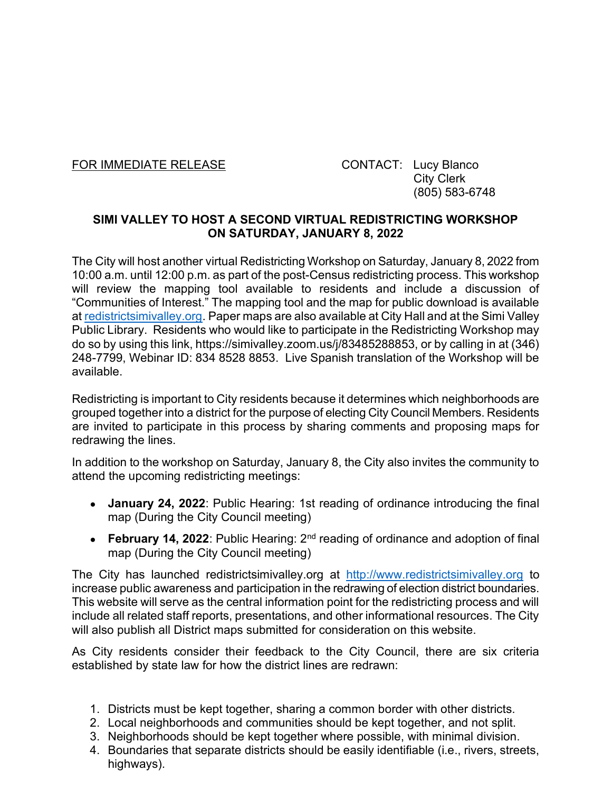FOR IMMEDIATE RELEASE CONTACT: Lucy Blanco

 City Clerk (805) 583-6748

## SIMI VALLEY TO HOST A SECOND VIRTUAL REDISTRICTING WORKSHOP ON SATURDAY, JANUARY 8, 2022

The City will host another virtual Redistricting Workshop on Saturday, January 8, 2022 from 10:00 a.m. until 12:00 p.m. as part of the post-Census redistricting process. This workshop will review the mapping tool available to residents and include a discussion of "Communities of Interest." The mapping tool and the map for public download is available at redistrictsimivalley.org. Paper maps are also available at City Hall and at the Simi Valley Public Library. Residents who would like to participate in the Redistricting Workshop may do so by using this link, https://simivalley.zoom.us/j/83485288853, or by calling in at (346) 248-7799, Webinar ID: 834 8528 8853. Live Spanish translation of the Workshop will be available.

Redistricting is important to City residents because it determines which neighborhoods are grouped together into a district for the purpose of electing City Council Members. Residents are invited to participate in this process by sharing comments and proposing maps for redrawing the lines.

In addition to the workshop on Saturday, January 8, the City also invites the community to attend the upcoming redistricting meetings:

- January 24, 2022: Public Hearing: 1st reading of ordinance introducing the final map (During the City Council meeting)
- **February 14, 2022:** Public Hearing:  $2^{nd}$  reading of ordinance and adoption of final map (During the City Council meeting)

The City has launched redistrictsimivalley.org at http://www.redistrictsimivalley.org to increase public awareness and participation in the redrawing of election district boundaries. This website will serve as the central information point for the redistricting process and will include all related staff reports, presentations, and other informational resources. The City will also publish all District maps submitted for consideration on this website.

As City residents consider their feedback to the City Council, there are six criteria established by state law for how the district lines are redrawn:

- 1. Districts must be kept together, sharing a common border with other districts.
- 2. Local neighborhoods and communities should be kept together, and not split.
- 3. Neighborhoods should be kept together where possible, with minimal division.
- 4. Boundaries that separate districts should be easily identifiable (i.e., rivers, streets, highways).